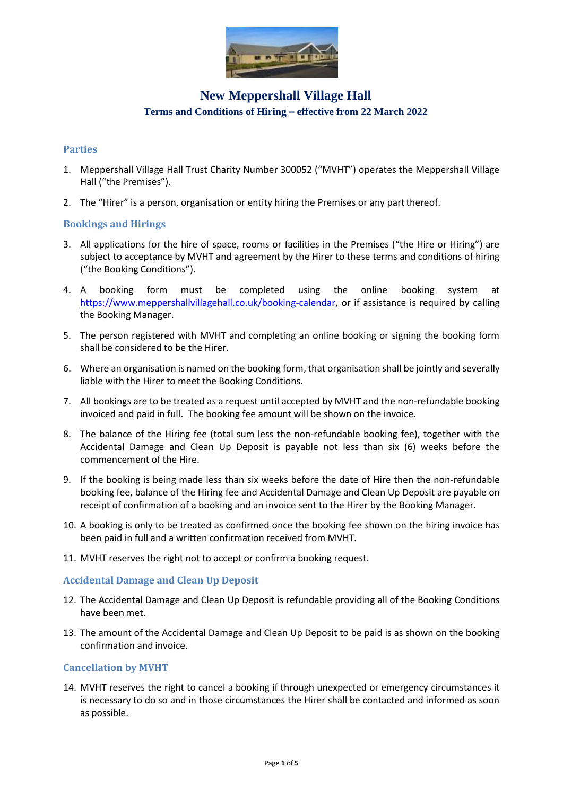

### **Parties**

- 1. Meppershall Village Hall Trust Charity Number 300052 ("MVHT") operates the Meppershall Village Hall ("the Premises").
- 2. The "Hirer" is a person, organisation or entity hiring the Premises or any partthereof.

### **Bookings and Hirings**

- 3. All applications for the hire of space, rooms or facilities in the Premises ("the Hire or Hiring") are subject to acceptance by MVHT and agreement by the Hirer to these terms and conditions of hiring ("the Booking Conditions").
- 4. A booking form must be completed using the online booking system at [https://www.meppershallvillagehall.co.uk/booking-calendar,](https://www.meppershallvillagehall.co.uk/booking-calendar) or if assistance is required by calling the Booking Manager.
- 5. The person registered with MVHT and completing an online booking or signing the booking form shall be considered to be the Hirer.
- 6. Where an organisation is named on the booking form, that organisation shall be jointly and severally liable with the Hirer to meet the Booking Conditions.
- 7. All bookings are to be treated as a request until accepted by MVHT and the non-refundable booking invoiced and paid in full. The booking fee amount will be shown on the invoice.
- 8. The balance of the Hiring fee (total sum less the non-refundable booking fee), together with the Accidental Damage and Clean Up Deposit is payable not less than six (6) weeks before the commencement of the Hire.
- 9. If the booking is being made less than six weeks before the date of Hire then the non-refundable booking fee, balance of the Hiring fee and Accidental Damage and Clean Up Deposit are payable on receipt of confirmation of a booking and an invoice sent to the Hirer by the Booking Manager.
- 10. A booking is only to be treated as confirmed once the booking fee shown on the hiring invoice has been paid in full and a written confirmation received from MVHT.
- 11. MVHT reserves the right not to accept or confirm a booking request.

#### **Accidental Damage and Clean Up Deposit**

- 12. The Accidental Damage and Clean Up Deposit is refundable providing all of the Booking Conditions have been met.
- 13. The amount of the Accidental Damage and Clean Up Deposit to be paid is as shown on the booking confirmation and invoice.

#### **Cancellation by MVHT**

14. MVHT reserves the right to cancel a booking if through unexpected or emergency circumstances it is necessary to do so and in those circumstances the Hirer shall be contacted and informed as soon as possible.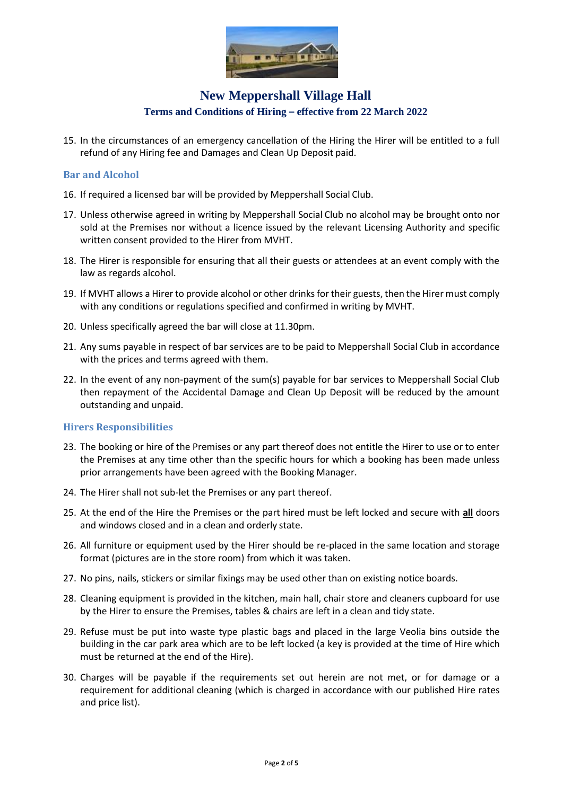

15. In the circumstances of an emergency cancellation of the Hiring the Hirer will be entitled to a full refund of any Hiring fee and Damages and Clean Up Deposit paid.

#### **Bar and Alcohol**

- 16. If required a licensed bar will be provided by Meppershall Social Club.
- 17. Unless otherwise agreed in writing by Meppershall Social Club no alcohol may be brought onto nor sold at the Premises nor without a licence issued by the relevant Licensing Authority and specific written consent provided to the Hirer from MVHT.
- 18. The Hirer is responsible for ensuring that all their guests or attendees at an event comply with the law as regards alcohol.
- 19. If MVHT allows a Hirer to provide alcohol or other drinks for their guests, then the Hirer must comply with any conditions or regulations specified and confirmed in writing by MVHT.
- 20. Unless specifically agreed the bar will close at 11.30pm.
- 21. Any sums payable in respect of bar services are to be paid to Meppershall Social Club in accordance with the prices and terms agreed with them.
- 22. In the event of any non-payment of the sum(s) payable for bar services to Meppershall Social Club then repayment of the Accidental Damage and Clean Up Deposit will be reduced by the amount outstanding and unpaid.

#### **Hirers Responsibilities**

- 23. The booking or hire of the Premises or any part thereof does not entitle the Hirer to use or to enter the Premises at any time other than the specific hours for which a booking has been made unless prior arrangements have been agreed with the Booking Manager.
- 24. The Hirer shall not sub-let the Premises or any part thereof.
- 25. At the end of the Hire the Premises or the part hired must be left locked and secure with **all** doors and windows closed and in a clean and orderly state.
- 26. All furniture or equipment used by the Hirer should be re-placed in the same location and storage format (pictures are in the store room) from which it was taken.
- 27. No pins, nails, stickers or similar fixings may be used other than on existing notice boards.
- 28. Cleaning equipment is provided in the kitchen, main hall, chair store and cleaners cupboard for use by the Hirer to ensure the Premises, tables & chairs are left in a clean and tidy state.
- 29. Refuse must be put into waste type plastic bags and placed in the large Veolia bins outside the building in the car park area which are to be left locked (a key is provided at the time of Hire which must be returned at the end of the Hire).
- 30. Charges will be payable if the requirements set out herein are not met, or for damage or a requirement for additional cleaning (which is charged in accordance with our published Hire rates and price list).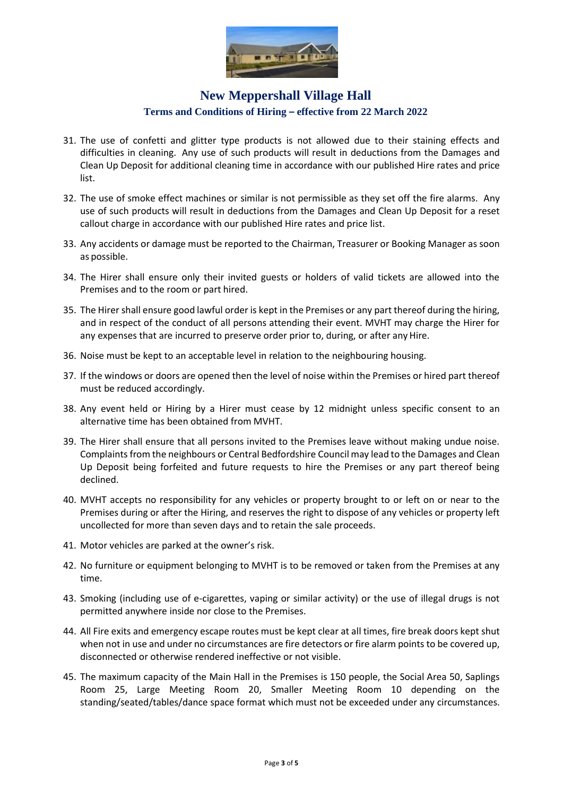

- 31. The use of confetti and glitter type products is not allowed due to their staining effects and difficulties in cleaning. Any use of such products will result in deductions from the Damages and Clean Up Deposit for additional cleaning time in accordance with our published Hire rates and price list.
- 32. The use of smoke effect machines or similar is not permissible as they set off the fire alarms. Any use of such products will result in deductions from the Damages and Clean Up Deposit for a reset callout charge in accordance with our published Hire rates and price list.
- 33. Any accidents or damage must be reported to the Chairman, Treasurer or Booking Manager as soon as possible.
- 34. The Hirer shall ensure only their invited guests or holders of valid tickets are allowed into the Premises and to the room or part hired.
- 35. The Hirer shall ensure good lawful order is kept in the Premises or any part thereof during the hiring, and in respect of the conduct of all persons attending their event. MVHT may charge the Hirer for any expenses that are incurred to preserve order prior to, during, or after any Hire.
- 36. Noise must be kept to an acceptable level in relation to the neighbouring housing.
- 37. If the windows or doors are opened then the level of noise within the Premises or hired part thereof must be reduced accordingly.
- 38. Any event held or Hiring by a Hirer must cease by 12 midnight unless specific consent to an alternative time has been obtained from MVHT.
- 39. The Hirer shall ensure that all persons invited to the Premises leave without making undue noise. Complaints from the neighbours or Central Bedfordshire Council may lead to the Damages and Clean Up Deposit being forfeited and future requests to hire the Premises or any part thereof being declined.
- 40. MVHT accepts no responsibility for any vehicles or property brought to or left on or near to the Premises during or after the Hiring, and reserves the right to dispose of any vehicles or property left uncollected for more than seven days and to retain the sale proceeds.
- 41. Motor vehicles are parked at the owner's risk.
- 42. No furniture or equipment belonging to MVHT is to be removed or taken from the Premises at any time.
- 43. Smoking (including use of e-cigarettes, vaping or similar activity) or the use of illegal drugs is not permitted anywhere inside nor close to the Premises.
- 44. All Fire exits and emergency escape routes must be kept clear at all times, fire break doors kept shut when not in use and under no circumstances are fire detectors or fire alarm points to be covered up, disconnected or otherwise rendered ineffective or not visible.
- 45. The maximum capacity of the Main Hall in the Premises is 150 people, the Social Area 50, Saplings Room 25, Large Meeting Room 20, Smaller Meeting Room 10 depending on the standing/seated/tables/dance space format which must not be exceeded under any circumstances.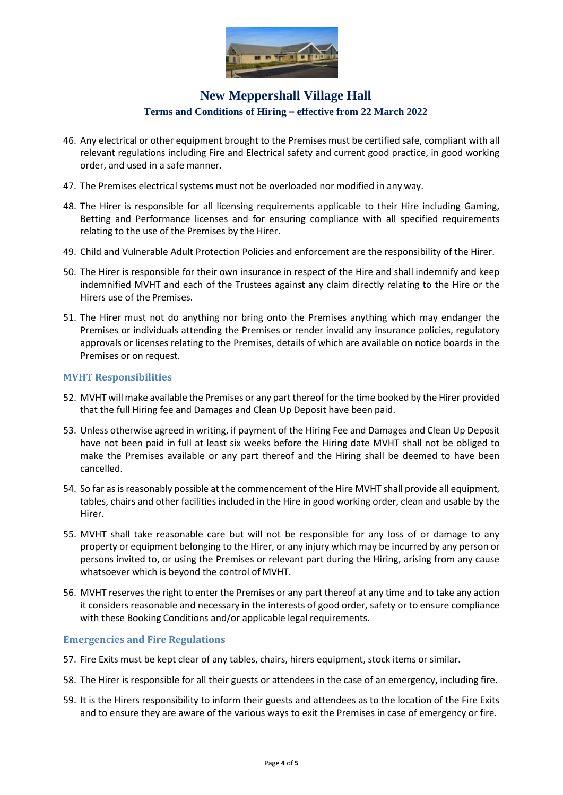

- 46. Any electrical or other equipment brought to the Premises must be certified safe, compliant with all relevant regulations including Fire and Electrical safety and current good practice, in good working order, and used in a safe manner.
- 47. The Premises electrical systems must not be overloaded nor modified in any way.
- 48. The Hirer is responsible for all licensing requirements applicable to their Hire including Gaming, Betting and Performance licenses and for ensuring compliance with all specified requirements relating to the use of the Premises by the Hirer.
- 49. Child and Vulnerable Adult Protection Policies and enforcement are the responsibility of the Hirer.
- 50. The Hirer is responsible for their own insurance in respect of the Hire and shall indemnify and keep indemnified MVHT and each of the Trustees against any claim directly relating to the Hire or the Hirers use of the Premises.
- 51. The Hirer must not do anything nor bring onto the Premises anything which may endanger the Premises or individuals attending the Premises or render invalid any insurance policies, regulatory approvals or licenses relating to the Premises, details of which are available on notice boards in the Premises or on request.

### **MVHT Responsibilities**

- 52. MVHT will make available the Premises or any part thereof for the time booked by the Hirer provided that the full Hiring fee and Damages and Clean Up Deposit have been paid.
- 53. Unless otherwise agreed in writing, if payment of the Hiring Fee and Damages and Clean Up Deposit have not been paid in full at least six weeks before the Hiring date MVHT shall not be obliged to make the Premises available or any part thereof and the Hiring shall be deemed to have been cancelled.
- 54. So far as is reasonably possible at the commencement of the Hire MVHT shall provide all equipment, tables, chairs and other facilities included in the Hire in good working order, clean and usable by the Hirer.
- 55. MVHT shall take reasonable care but will not be responsible for any loss of or damage to any property or equipment belonging to the Hirer, or any injury which may be incurred by any person or persons invited to, or using the Premises or relevant part during the Hiring, arising from any cause whatsoever which is beyond the control of MVHT.
- 56. MVHT reserves the right to enter the Premises or any part thereof at any time and to take any action it considers reasonable and necessary in the interests of good order, safety or to ensure compliance with these Booking Conditions and/or applicable legal requirements.

### **Emergencies and Fire Regulations**

- 57. Fire Exits must be kept clear of any tables, chairs, hirers equipment, stock items or similar.
- 58. The Hirer is responsible for all their guests or attendees in the case of an emergency, including fire.
- 59. It is the Hirers responsibility to inform their guests and attendees as to the location of the Fire Exits and to ensure they are aware of the various ways to exit the Premises in case of emergency or fire.